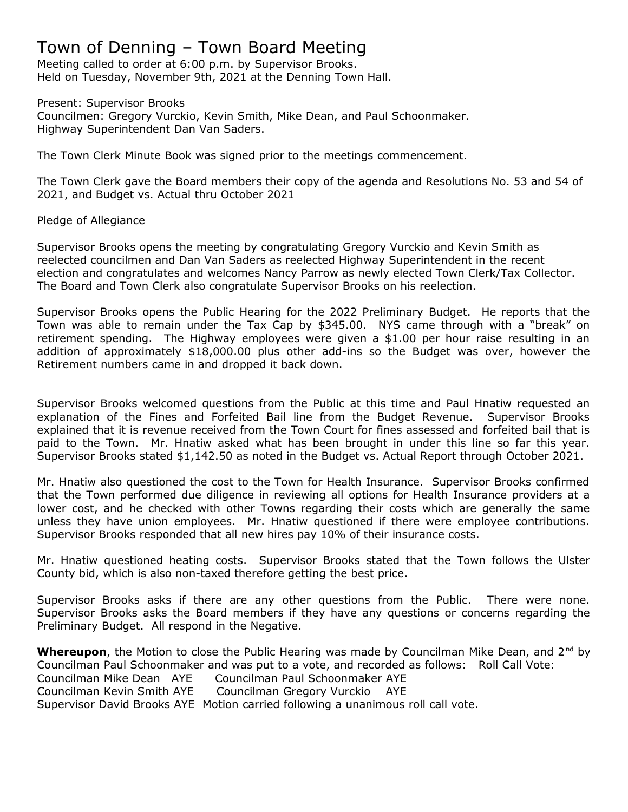## Town of Denning – Town Board Meeting

Meeting called to order at 6:00 p.m. by Supervisor Brooks. Held on Tuesday, November 9th, 2021 at the Denning Town Hall.

Present: Supervisor Brooks Councilmen: Gregory Vurckio, Kevin Smith, Mike Dean, and Paul Schoonmaker. Highway Superintendent Dan Van Saders.

The Town Clerk Minute Book was signed prior to the meetings commencement.

The Town Clerk gave the Board members their copy of the agenda and Resolutions No. 53 and 54 of 2021, and Budget vs. Actual thru October 2021

## Pledge of Allegiance

Supervisor Brooks opens the meeting by congratulating Gregory Vurckio and Kevin Smith as reelected councilmen and Dan Van Saders as reelected Highway Superintendent in the recent election and congratulates and welcomes Nancy Parrow as newly elected Town Clerk/Tax Collector. The Board and Town Clerk also congratulate Supervisor Brooks on his reelection.

Supervisor Brooks opens the Public Hearing for the 2022 Preliminary Budget. He reports that the Town was able to remain under the Tax Cap by \$345.00. NYS came through with a "break" on retirement spending. The Highway employees were given a \$1.00 per hour raise resulting in an addition of approximately \$18,000.00 plus other add-ins so the Budget was over, however the Retirement numbers came in and dropped it back down.

Supervisor Brooks welcomed questions from the Public at this time and Paul Hnatiw requested an explanation of the Fines and Forfeited Bail line from the Budget Revenue. Supervisor Brooks explained that it is revenue received from the Town Court for fines assessed and forfeited bail that is paid to the Town. Mr. Hnatiw asked what has been brought in under this line so far this year. Supervisor Brooks stated \$1,142.50 as noted in the Budget vs. Actual Report through October 2021.

Mr. Hnatiw also questioned the cost to the Town for Health Insurance. Supervisor Brooks confirmed that the Town performed due diligence in reviewing all options for Health Insurance providers at a lower cost, and he checked with other Towns regarding their costs which are generally the same unless they have union employees. Mr. Hnatiw questioned if there were employee contributions. Supervisor Brooks responded that all new hires pay 10% of their insurance costs.

Mr. Hnatiw questioned heating costs. Supervisor Brooks stated that the Town follows the Ulster County bid, which is also non-taxed therefore getting the best price.

Supervisor Brooks asks if there are any other questions from the Public. There were none. Supervisor Brooks asks the Board members if they have any questions or concerns regarding the Preliminary Budget. All respond in the Negative.

**Whereupon**, the Motion to close the Public Hearing was made by Councilman Mike Dean, and 2<sup>nd</sup> by Councilman Paul Schoonmaker and was put to a vote, and recorded as follows: Roll Call Vote: Councilman Mike Dean AYE Councilman Paul Schoonmaker AYE Councilman Kevin Smith AYE Councilman Gregory Vurckio AYE Supervisor David Brooks AYE Motion carried following a unanimous roll call vote.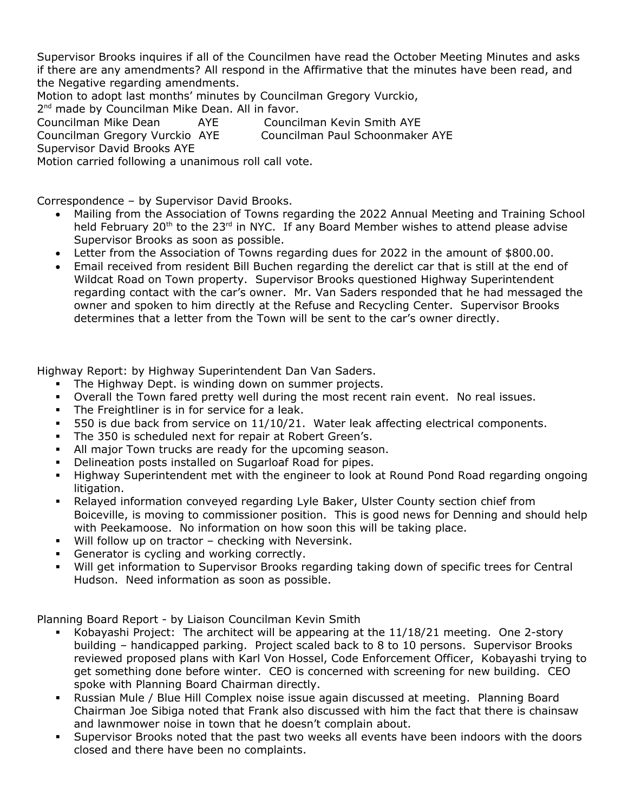Supervisor Brooks inquires if all of the Councilmen have read the October Meeting Minutes and asks if there are any amendments? All respond in the Affirmative that the minutes have been read, and the Negative regarding amendments.

Motion to adopt last months' minutes by Councilman Gregory Vurckio,

2<sup>nd</sup> made by Councilman Mike Dean. All in favor.

Councilman Mike Dean AYE Councilman Kevin Smith AYE Councilman Gregory Vurckio AYE Councilman Paul Schoonmaker AYE Supervisor David Brooks AYE

Motion carried following a unanimous roll call vote.

Correspondence – by Supervisor David Brooks.

- Mailing from the Association of Towns regarding the 2022 Annual Meeting and Training School held February  $20<sup>th</sup>$  to the  $23<sup>rd</sup>$  in NYC. If any Board Member wishes to attend please advise Supervisor Brooks as soon as possible.
- Letter from the Association of Towns regarding dues for 2022 in the amount of \$800.00.
- Email received from resident Bill Buchen regarding the derelict car that is still at the end of Wildcat Road on Town property. Supervisor Brooks questioned Highway Superintendent regarding contact with the car's owner. Mr. Van Saders responded that he had messaged the owner and spoken to him directly at the Refuse and Recycling Center. Supervisor Brooks determines that a letter from the Town will be sent to the car's owner directly.

Highway Report: by Highway Superintendent Dan Van Saders.

- The Highway Dept. is winding down on summer projects.
- Overall the Town fared pretty well during the most recent rain event. No real issues.
- **The Freightliner is in for service for a leak.**
- 550 is due back from service on 11/10/21. Water leak affecting electrical components.
- The 350 is scheduled next for repair at Robert Green's.
- All major Town trucks are ready for the upcoming season.
- Delineation posts installed on Sugarloaf Road for pipes.
- Highway Superintendent met with the engineer to look at Round Pond Road regarding ongoing litigation.
- Relayed information conveyed regarding Lyle Baker, Ulster County section chief from Boiceville, is moving to commissioner position. This is good news for Denning and should help with Peekamoose. No information on how soon this will be taking place.
- Will follow up on tractor checking with Neversink.
- Generator is cycling and working correctly.
- Will get information to Supervisor Brooks regarding taking down of specific trees for Central Hudson. Need information as soon as possible.

Planning Board Report - by Liaison Councilman Kevin Smith

- Kobayashi Project: The architect will be appearing at the 11/18/21 meeting. One 2-story building – handicapped parking. Project scaled back to 8 to 10 persons. Supervisor Brooks reviewed proposed plans with Karl Von Hossel, Code Enforcement Officer, Kobayashi trying to get something done before winter. CEO is concerned with screening for new building. CEO spoke with Planning Board Chairman directly.
- Russian Mule / Blue Hill Complex noise issue again discussed at meeting. Planning Board Chairman Joe Sibiga noted that Frank also discussed with him the fact that there is chainsaw and lawnmower noise in town that he doesn't complain about.
- Supervisor Brooks noted that the past two weeks all events have been indoors with the doors closed and there have been no complaints.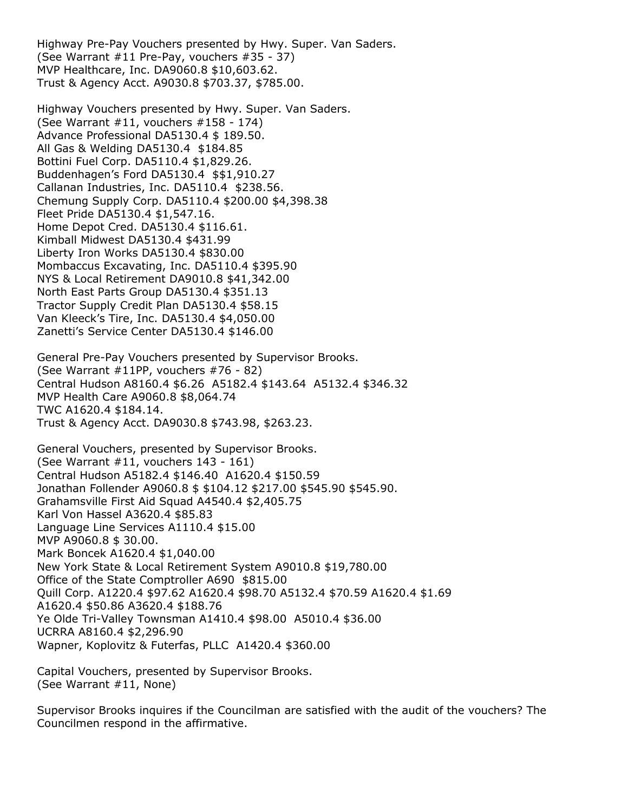Highway Pre-Pay Vouchers presented by Hwy. Super. Van Saders. (See Warrant #11 Pre-Pay, vouchers #35 - 37) MVP Healthcare, Inc. DA9060.8 \$10,603.62. Trust & Agency Acct. A9030.8 \$703.37, \$785.00.

Highway Vouchers presented by Hwy. Super. Van Saders. (See Warrant #11, vouchers #158 - 174) Advance Professional DA5130.4 \$ 189.50. All Gas & Welding DA5130.4 \$184.85 Bottini Fuel Corp. DA5110.4 \$1,829.26. Buddenhagen's Ford DA5130.4 \$\$1,910.27 Callanan Industries, Inc. DA5110.4 \$238.56. Chemung Supply Corp. DA5110.4 \$200.00 \$4,398.38 Fleet Pride DA5130.4 \$1,547.16. Home Depot Cred. DA5130.4 \$116.61. Kimball Midwest DA5130.4 \$431.99 Liberty Iron Works DA5130.4 \$830.00 Mombaccus Excavating, Inc. DA5110.4 \$395.90 NYS & Local Retirement DA9010.8 \$41,342.00 North East Parts Group DA5130.4 \$351.13 Tractor Supply Credit Plan DA5130.4 \$58.15 Van Kleeck's Tire, Inc. DA5130.4 \$4,050.00 Zanetti's Service Center DA5130.4 \$146.00

General Pre-Pay Vouchers presented by Supervisor Brooks. (See Warrant #11PP, vouchers #76 - 82) Central Hudson A8160.4 \$6.26 A5182.4 \$143.64 A5132.4 \$346.32 MVP Health Care A9060.8 \$8,064.74 TWC A1620.4 \$184.14. Trust & Agency Acct. DA9030.8 \$743.98, \$263.23.

General Vouchers, presented by Supervisor Brooks. (See Warrant #11, vouchers 143 - 161) Central Hudson A5182.4 \$146.40 A1620.4 \$150.59 Jonathan Follender A9060.8 \$ \$104.12 \$217.00 \$545.90 \$545.90. Grahamsville First Aid Squad A4540.4 \$2,405.75 Karl Von Hassel A3620.4 \$85.83 Language Line Services A1110.4 \$15.00 MVP A9060.8 \$ 30.00. Mark Boncek A1620.4 \$1,040.00 New York State & Local Retirement System A9010.8 \$19,780.00 Office of the State Comptroller A690 \$815.00 Quill Corp. A1220.4 \$97.62 A1620.4 \$98.70 A5132.4 \$70.59 A1620.4 \$1.69 A1620.4 \$50.86 A3620.4 \$188.76 Ye Olde Tri-Valley Townsman A1410.4 \$98.00 A5010.4 \$36.00 UCRRA A8160.4 \$2,296.90 Wapner, Koplovitz & Futerfas, PLLC A1420.4 \$360.00

Capital Vouchers, presented by Supervisor Brooks. (See Warrant #11, None)

Supervisor Brooks inquires if the Councilman are satisfied with the audit of the vouchers? The Councilmen respond in the affirmative.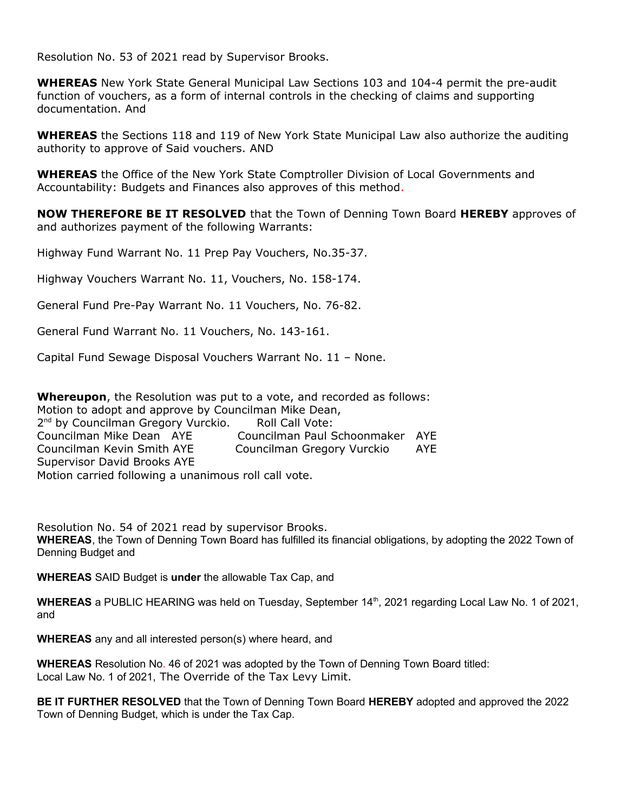Resolution No. 53 of 2021 read by Supervisor Brooks.

**WHEREAS** New York State General Municipal Law Sections 103 and 104-4 permit the pre-audit function of vouchers, as a form of internal controls in the checking of claims and supporting documentation. And

**WHEREAS** the Sections 118 and 119 of New York State Municipal Law also authorize the auditing authority to approve of Said vouchers. AND

**WHEREAS** the Office of the New York State Comptroller Division of Local Governments and Accountability: Budgets and Finances also approves of this method.

**NOW THEREFORE BE IT RESOLVED** that the Town of Denning Town Board **HEREBY** approves of and authorizes payment of the following Warrants:

Highway Fund Warrant No. 11 Prep Pay Vouchers, No.35-37.

Highway Vouchers Warrant No. 11, Vouchers, No. 158-174.

General Fund Pre-Pay Warrant No. 11 Vouchers, No. 76-82.

General Fund Warrant No. 11 Vouchers, No. 143-161.

Capital Fund Sewage Disposal Vouchers Warrant No. 11 – None.

**Whereupon**, the Resolution was put to a vote, and recorded as follows: Motion to adopt and approve by Councilman Mike Dean, 2<sup>nd</sup> by Councilman Gregory Vurckio. Roll Call Vote: Councilman Mike Dean AYE Councilman Paul Schoonmaker AYE Councilman Kevin Smith AYE Councilman Gregory Vurckio AYE Supervisor David Brooks AYE Motion carried following a unanimous roll call vote.

Resolution No. 54 of 2021 read by supervisor Brooks. **WHEREAS**, the Town of Denning Town Board has fulfilled its financial obligations, by adopting the 2022 Town of Denning Budget and

**WHEREAS** SAID Budget is **under** the allowable Tax Cap, and

WHEREAS a PUBLIC HEARING was held on Tuesday, September 14<sup>th</sup>, 2021 regarding Local Law No. 1 of 2021, and

**WHEREAS** any and all interested person(s) where heard, and

**WHEREAS** Resolution No. 46 of 2021 was adopted by the Town of Denning Town Board titled: Local Law No. 1 of 2021, The Override of the Tax Levy Limit.

**BE IT FURTHER RESOLVED** that the Town of Denning Town Board **HEREBY** adopted and approved the 2022 Town of Denning Budget, which is under the Tax Cap.